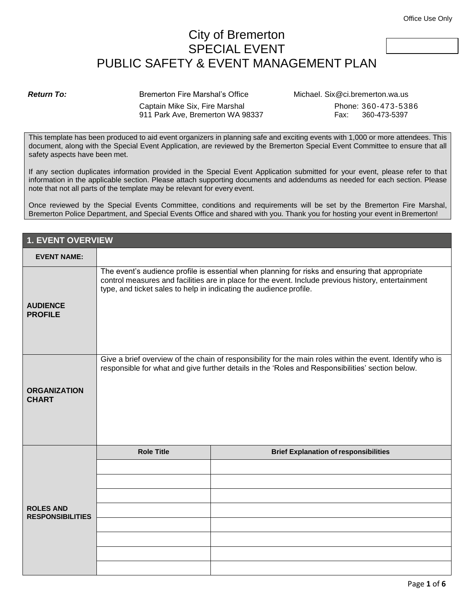## City of Bremerton SPECIAL EVENT PUBLIC SAFETY & EVENT MANAGEMENT PLAN

**Return To:** Bremerton Fire Marshal's Office Michael. Six@ci.bremerton.wa.us Captain Mike Six, Fire Marshal **Phone: 360-473-5386** 911 Park Ave, Bremerton WA 98337 Fax: 360-473-5397

This template has been produced to aid event organizers in planning safe and exciting events with 1,000 or more attendees. This document, along with the Special Event Application, are reviewed by the Bremerton Special Event Committee to ensure that all safety aspects have been met.

If any section duplicates information provided in the Special Event Application submitted for your event, please refer to that information in the applicable section. Please attach supporting documents and addendums as needed for each section. Please note that not all parts of the template may be relevant for every event.

Once reviewed by the Special Events Committee, conditions and requirements will be set by the Bremerton Fire Marshal, Bremerton Police Department, and Special Events Office and shared with you. Thank you for hosting your event in Bremerton!

| <b>1. EVENT OVERVIEW</b>                    |                                                                                                                                                                                                                                                                              |                                              |
|---------------------------------------------|------------------------------------------------------------------------------------------------------------------------------------------------------------------------------------------------------------------------------------------------------------------------------|----------------------------------------------|
| <b>EVENT NAME:</b>                          |                                                                                                                                                                                                                                                                              |                                              |
| <b>AUDIENCE</b><br><b>PROFILE</b>           | The event's audience profile is essential when planning for risks and ensuring that appropriate<br>control measures and facilities are in place for the event. Include previous history, entertainment<br>type, and ticket sales to help in indicating the audience profile. |                                              |
| <b>ORGANIZATION</b><br><b>CHART</b>         | Give a brief overview of the chain of responsibility for the main roles within the event. Identify who is<br>responsible for what and give further details in the 'Roles and Responsibilities' section below.                                                                |                                              |
|                                             | <b>Role Title</b>                                                                                                                                                                                                                                                            | <b>Brief Explanation of responsibilities</b> |
| <b>ROLES AND</b><br><b>RESPONSIBILITIES</b> |                                                                                                                                                                                                                                                                              |                                              |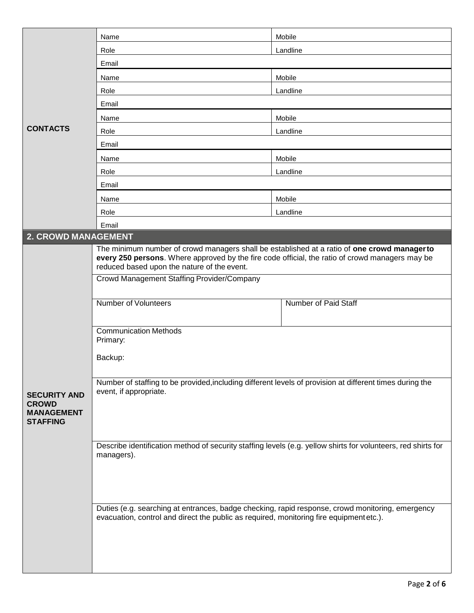|                                                                             | Name                                                                                                                                                                                                                                          | Mobile                                                                                                        |  |
|-----------------------------------------------------------------------------|-----------------------------------------------------------------------------------------------------------------------------------------------------------------------------------------------------------------------------------------------|---------------------------------------------------------------------------------------------------------------|--|
|                                                                             | Role                                                                                                                                                                                                                                          | Landline                                                                                                      |  |
|                                                                             | Email                                                                                                                                                                                                                                         |                                                                                                               |  |
|                                                                             | Name                                                                                                                                                                                                                                          | Mobile                                                                                                        |  |
|                                                                             | Role                                                                                                                                                                                                                                          | Landline                                                                                                      |  |
|                                                                             | Email                                                                                                                                                                                                                                         |                                                                                                               |  |
|                                                                             | Name                                                                                                                                                                                                                                          | Mobile                                                                                                        |  |
| <b>CONTACTS</b>                                                             | Role                                                                                                                                                                                                                                          | Landline                                                                                                      |  |
|                                                                             | Email                                                                                                                                                                                                                                         |                                                                                                               |  |
|                                                                             | Name                                                                                                                                                                                                                                          | Mobile                                                                                                        |  |
|                                                                             | Role                                                                                                                                                                                                                                          | Landline                                                                                                      |  |
|                                                                             | Email                                                                                                                                                                                                                                         |                                                                                                               |  |
|                                                                             | Name                                                                                                                                                                                                                                          | Mobile                                                                                                        |  |
|                                                                             | Role                                                                                                                                                                                                                                          | Landline                                                                                                      |  |
|                                                                             | Email                                                                                                                                                                                                                                         |                                                                                                               |  |
| <b>2. CROWD MANAGEMENT</b>                                                  |                                                                                                                                                                                                                                               |                                                                                                               |  |
|                                                                             | The minimum number of crowd managers shall be established at a ratio of one crowd managerto<br>every 250 persons. Where approved by the fire code official, the ratio of crowd managers may be<br>reduced based upon the nature of the event. |                                                                                                               |  |
|                                                                             | Crowd Management Staffing Provider/Company                                                                                                                                                                                                    |                                                                                                               |  |
|                                                                             | <b>Number of Volunteers</b>                                                                                                                                                                                                                   | Number of Paid Staff                                                                                          |  |
|                                                                             | <b>Communication Methods</b><br>Primary:                                                                                                                                                                                                      |                                                                                                               |  |
|                                                                             | Backup:                                                                                                                                                                                                                                       |                                                                                                               |  |
| <b>SECURITY AND</b><br><b>CROWD</b><br><b>MANAGEMENT</b><br><b>STAFFING</b> | Number of staffing to be provided, including different levels of provision at different times during the<br>event, if appropriate.                                                                                                            |                                                                                                               |  |
|                                                                             |                                                                                                                                                                                                                                               | Describe identification method of security staffing levels (e.g. yellow shirts for volunteers, red shirts for |  |
|                                                                             | managers).                                                                                                                                                                                                                                    |                                                                                                               |  |
|                                                                             | Duties (e.g. searching at entrances, badge checking, rapid response, crowd monitoring, emergency<br>evacuation, control and direct the public as required, monitoring fire equipment etc.).                                                   |                                                                                                               |  |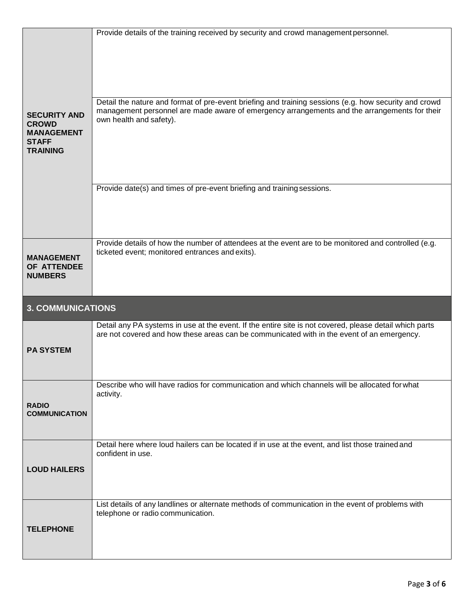|                                                                                             | Provide details of the training received by security and crowd management personnel.                                                                                                                                             |
|---------------------------------------------------------------------------------------------|----------------------------------------------------------------------------------------------------------------------------------------------------------------------------------------------------------------------------------|
| <b>SECURITY AND</b><br><b>CROWD</b><br><b>MANAGEMENT</b><br><b>STAFF</b><br><b>TRAINING</b> | Detail the nature and format of pre-event briefing and training sessions (e.g. how security and crowd<br>management personnel are made aware of emergency arrangements and the arrangements for their<br>own health and safety). |
|                                                                                             | Provide date(s) and times of pre-event briefing and training sessions.                                                                                                                                                           |
|                                                                                             |                                                                                                                                                                                                                                  |
|                                                                                             | Provide details of how the number of attendees at the event are to be monitored and controlled (e.g.                                                                                                                             |
| <b>MANAGEMENT</b><br>OF ATTENDEE<br><b>NUMBERS</b>                                          | ticketed event; monitored entrances and exits).                                                                                                                                                                                  |
| <b>3. COMMUNICATIONS</b>                                                                    |                                                                                                                                                                                                                                  |
| <b>PA SYSTEM</b>                                                                            | Detail any PA systems in use at the event. If the entire site is not covered, please detail which parts<br>are not covered and how these areas can be communicated with in the event of an emergency.                            |
|                                                                                             | Describe who will have radios for communication and which channels will be allocated for what                                                                                                                                    |
| <b>RADIO</b><br><b>COMMUNICATION</b>                                                        | activity.                                                                                                                                                                                                                        |
|                                                                                             | Detail here where loud hailers can be located if in use at the event, and list those trained and                                                                                                                                 |
|                                                                                             | confident in use.                                                                                                                                                                                                                |
| <b>LOUD HAILERS</b>                                                                         |                                                                                                                                                                                                                                  |
| <b>TELEPHONE</b>                                                                            | List details of any landlines or alternate methods of communication in the event of problems with<br>telephone or radio communication.                                                                                           |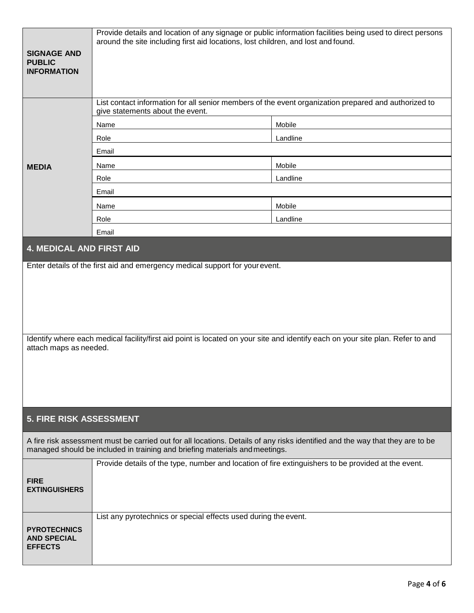| <b>SIGNAGE AND</b><br><b>PUBLIC</b><br><b>INFORMATION</b>                                                                                                                                                    | Provide details and location of any signage or public information facilities being used to direct persons<br>around the site including first aid locations, lost children, and lost and found.<br>List contact information for all senior members of the event organization prepared and authorized to<br>give statements about the event.<br>Mobile<br>Name |          |  |  |
|--------------------------------------------------------------------------------------------------------------------------------------------------------------------------------------------------------------|--------------------------------------------------------------------------------------------------------------------------------------------------------------------------------------------------------------------------------------------------------------------------------------------------------------------------------------------------------------|----------|--|--|
|                                                                                                                                                                                                              | Role                                                                                                                                                                                                                                                                                                                                                         | Landline |  |  |
|                                                                                                                                                                                                              | Email                                                                                                                                                                                                                                                                                                                                                        |          |  |  |
| <b>MEDIA</b>                                                                                                                                                                                                 | Name                                                                                                                                                                                                                                                                                                                                                         | Mobile   |  |  |
|                                                                                                                                                                                                              | Role                                                                                                                                                                                                                                                                                                                                                         | Landline |  |  |
|                                                                                                                                                                                                              | Email                                                                                                                                                                                                                                                                                                                                                        |          |  |  |
|                                                                                                                                                                                                              | Name                                                                                                                                                                                                                                                                                                                                                         | Mobile   |  |  |
|                                                                                                                                                                                                              | Role                                                                                                                                                                                                                                                                                                                                                         | Landline |  |  |
|                                                                                                                                                                                                              | Email                                                                                                                                                                                                                                                                                                                                                        |          |  |  |
| <b>4. MEDICAL AND FIRST AID</b>                                                                                                                                                                              |                                                                                                                                                                                                                                                                                                                                                              |          |  |  |
|                                                                                                                                                                                                              | Enter details of the first aid and emergency medical support for your event.                                                                                                                                                                                                                                                                                 |          |  |  |
| Identify where each medical facility/first aid point is located on your site and identify each on your site plan. Refer to and                                                                               |                                                                                                                                                                                                                                                                                                                                                              |          |  |  |
| attach maps as needed.                                                                                                                                                                                       |                                                                                                                                                                                                                                                                                                                                                              |          |  |  |
| <b>5. FIRE RISK ASSESSMENT</b>                                                                                                                                                                               |                                                                                                                                                                                                                                                                                                                                                              |          |  |  |
| A fire risk assessment must be carried out for all locations. Details of any risks identified and the way that they are to be<br>managed should be included in training and briefing materials and meetings. |                                                                                                                                                                                                                                                                                                                                                              |          |  |  |
| <b>FIRE</b><br><b>EXTINGUISHERS</b>                                                                                                                                                                          | Provide details of the type, number and location of fire extinguishers to be provided at the event.                                                                                                                                                                                                                                                          |          |  |  |
| <b>PYROTECHNICS</b><br><b>AND SPECIAL</b><br><b>EFFECTS</b>                                                                                                                                                  | List any pyrotechnics or special effects used during the event.                                                                                                                                                                                                                                                                                              |          |  |  |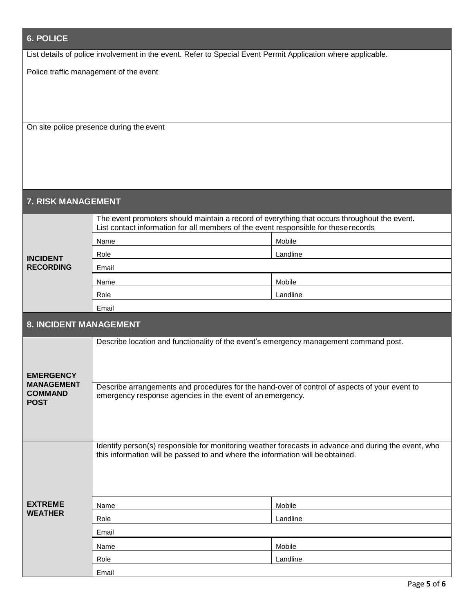| <b>6. POLICE</b>                                                                                             |                                                                                                                                                                                        |          |  |  |
|--------------------------------------------------------------------------------------------------------------|----------------------------------------------------------------------------------------------------------------------------------------------------------------------------------------|----------|--|--|
| List details of police involvement in the event. Refer to Special Event Permit Application where applicable. |                                                                                                                                                                                        |          |  |  |
| Police traffic management of the event                                                                       |                                                                                                                                                                                        |          |  |  |
|                                                                                                              |                                                                                                                                                                                        |          |  |  |
| On site police presence during the event                                                                     |                                                                                                                                                                                        |          |  |  |
| 7. RISK MANAGEMENT                                                                                           |                                                                                                                                                                                        |          |  |  |
|                                                                                                              | The event promoters should maintain a record of everything that occurs throughout the event.<br>List contact information for all members of the event responsible for these records    |          |  |  |
|                                                                                                              | Name                                                                                                                                                                                   | Mobile   |  |  |
|                                                                                                              | Role                                                                                                                                                                                   | Landline |  |  |
| <b>INCIDENT</b><br><b>RECORDING</b>                                                                          | Email                                                                                                                                                                                  |          |  |  |
|                                                                                                              | Name                                                                                                                                                                                   | Mobile   |  |  |
|                                                                                                              | Role                                                                                                                                                                                   | Landline |  |  |
|                                                                                                              | Email                                                                                                                                                                                  |          |  |  |
| <b>8. INCIDENT MANAGEMENT</b>                                                                                |                                                                                                                                                                                        |          |  |  |
| <b>EMERGENCY</b><br><b>MANAGEMENT</b><br><b>COMMAND</b><br><b>POST</b>                                       | Describe location and functionality of the event's emergency management command post.                                                                                                  |          |  |  |
|                                                                                                              | Describe arrangements and procedures for the hand-over of control of aspects of your event to<br>emergency response agencies in the event of an emergency.                             |          |  |  |
|                                                                                                              | Identify person(s) responsible for monitoring weather forecasts in advance and during the event, who<br>this information will be passed to and where the information will be obtained. |          |  |  |
| <b>EXTREME</b>                                                                                               | Name                                                                                                                                                                                   | Mobile   |  |  |
| <b>WEATHER</b>                                                                                               | Role                                                                                                                                                                                   | Landline |  |  |
|                                                                                                              | Email                                                                                                                                                                                  |          |  |  |
|                                                                                                              | Name                                                                                                                                                                                   | Mobile   |  |  |
|                                                                                                              | Role                                                                                                                                                                                   | Landline |  |  |
|                                                                                                              | Email                                                                                                                                                                                  |          |  |  |